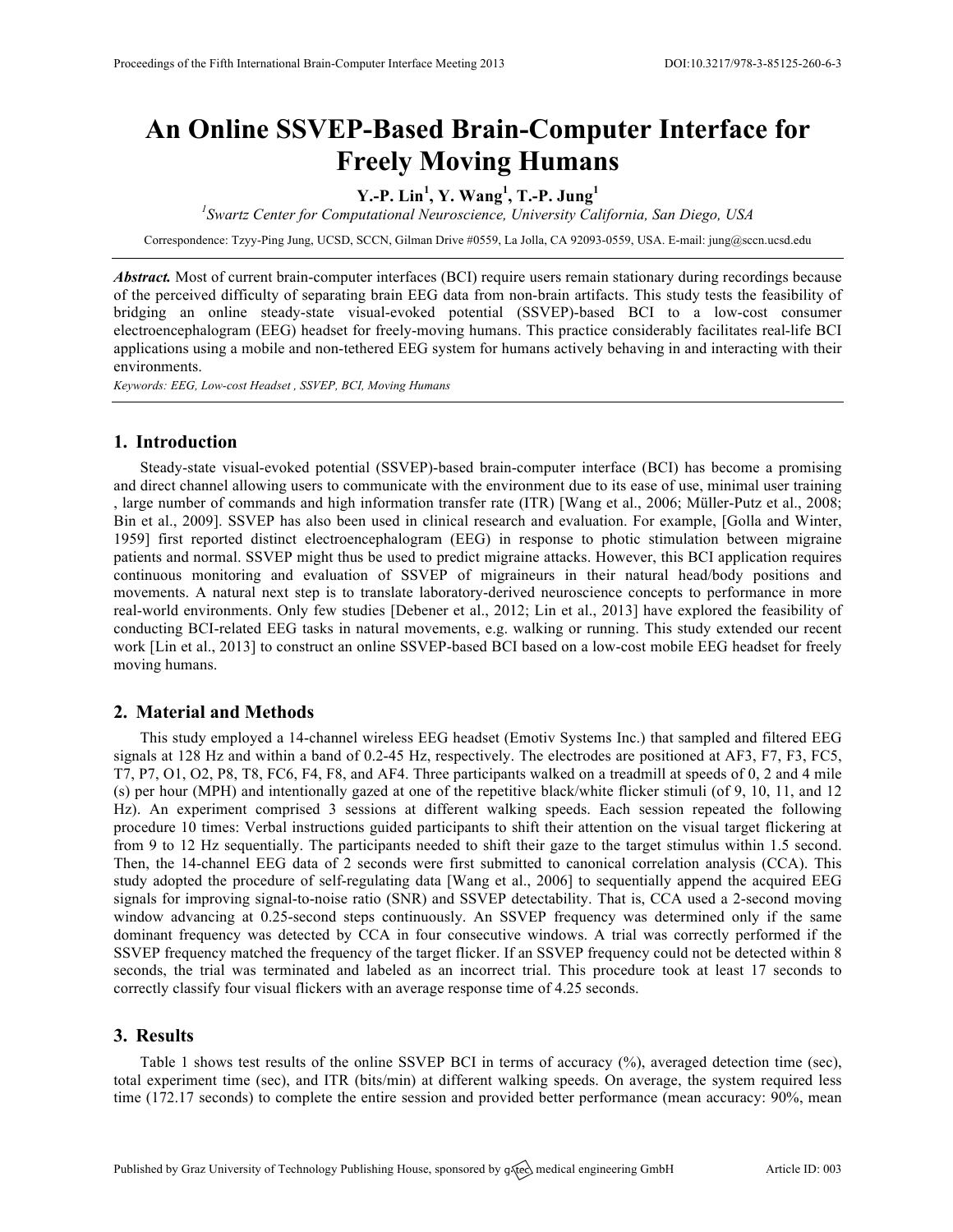# **An Online SSVEP-Based Brain-Computer Interface for Freely Moving Humans**

# **Y.-P. Lin<sup>1</sup> , Y. Wang<sup>1</sup> , T.-P. Jung<sup>1</sup>**

*1 Swartz Center for Computational Neuroscience, University California, San Diego, USA*

Correspondence: Tzyy-Ping Jung, UCSD, SCCN, Gilman Drive #0559, La Jolla, CA 92093-0559, USA. E-mail: jung@sccn.ucsd.edu

*Abstract.* Most of current brain-computer interfaces (BCI) require users remain stationary during recordings because of the perceived difficulty of separating brain EEG data from non-brain artifacts. This study tests the feasibility of bridging an online steady-state visual-evoked potential (SSVEP)-based BCI to a low-cost consumer electroencephalogram (EEG) headset for freely-moving humans. This practice considerably facilitates real-life BCI applications using a mobile and non-tethered EEG system for humans actively behaving in and interacting with their environments.

*Keywords: EEG, Low-cost Headset , SSVEP, BCI, Moving Humans*

#### **1. Introduction**

Steady-state visual-evoked potential (SSVEP)-based brain-computer interface (BCI) has become a promising and direct channel allowing users to communicate with the environment due to its ease of use, minimal user training , large number of commands and high information transfer rate (ITR) [Wang et al., 2006; Müller-Putz et al., 2008; Bin et al., 2009]. SSVEP has also been used in clinical research and evaluation. For example, [Golla and Winter, 1959] first reported distinct electroencephalogram (EEG) in response to photic stimulation between migraine patients and normal. SSVEP might thus be used to predict migraine attacks. However, this BCI application requires continuous monitoring and evaluation of SSVEP of migraineurs in their natural head/body positions and movements. A natural next step is to translate laboratory-derived neuroscience concepts to performance in more real-world environments. Only few studies [Debener et al., 2012; Lin et al., 2013] have explored the feasibility of conducting BCI-related EEG tasks in natural movements, e.g. walking or running. This study extended our recent work [Lin et al., 2013] to construct an online SSVEP-based BCI based on a low-cost mobile EEG headset for freely moving humans.

## **2. Material and Methods**

This study employed a 14-channel wireless EEG headset (Emotiv Systems Inc.) that sampled and filtered EEG signals at 128 Hz and within a band of 0.2-45 Hz, respectively. The electrodes are positioned at AF3, F7, F3, FC5, T7, P7, O1, O2, P8, T8, FC6, F4, F8, and AF4. Three participants walked on a treadmill at speeds of 0, 2 and 4 mile (s) per hour (MPH) and intentionally gazed at one of the repetitive black/white flicker stimuli (of 9, 10, 11, and 12 Hz). An experiment comprised 3 sessions at different walking speeds. Each session repeated the following procedure 10 times: Verbal instructions guided participants to shift their attention on the visual target flickering at from 9 to 12 Hz sequentially. The participants needed to shift their gaze to the target stimulus within 1.5 second. Then, the 14-channel EEG data of 2 seconds were first submitted to canonical correlation analysis (CCA). This study adopted the procedure of self-regulating data [Wang et al., 2006] to sequentially append the acquired EEG signals for improving signal-to-noise ratio (SNR) and SSVEP detectability. That is, CCA used a 2-second moving window advancing at 0.25-second steps continuously. An SSVEP frequency was determined only if the same dominant frequency was detected by CCA in four consecutive windows. A trial was correctly performed if the SSVEP frequency matched the frequency of the target flicker. If an SSVEP frequency could not be detected within 8 seconds, the trial was terminated and labeled as an incorrect trial. This procedure took at least 17 seconds to correctly classify four visual flickers with an average response time of 4.25 seconds.

## **3. Results**

Table 1 shows test results of the online SSVEP BCI in terms of accuracy (%), averaged detection time (sec), total experiment time (sec), and ITR (bits/min) at different walking speeds. On average, the system required less time (172.17 seconds) to complete the entire session and provided better performance (mean accuracy: 90%, mean